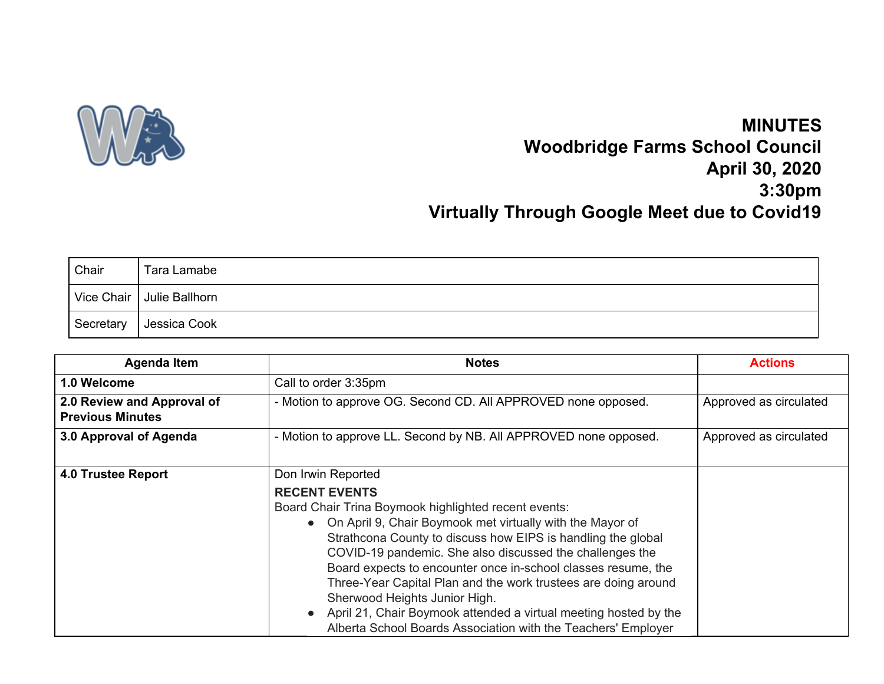

## **MINUTES Woodbridge Farms School Council April 30, 2020 3:30pm Virtually Through Google Meet due to Covid19**

| Chair     | Tara Lamabe                 |
|-----------|-----------------------------|
|           | Vice Chair   Julie Ballhorn |
| Secretary | Jessica Cook                |

| <b>Agenda Item</b>                                    | <b>Notes</b>                                                                                                                                                                                                                                                                                                                                                                                                                                                                                                                                                                                           | <b>Actions</b>         |
|-------------------------------------------------------|--------------------------------------------------------------------------------------------------------------------------------------------------------------------------------------------------------------------------------------------------------------------------------------------------------------------------------------------------------------------------------------------------------------------------------------------------------------------------------------------------------------------------------------------------------------------------------------------------------|------------------------|
| 1.0 Welcome                                           | Call to order 3:35pm                                                                                                                                                                                                                                                                                                                                                                                                                                                                                                                                                                                   |                        |
| 2.0 Review and Approval of<br><b>Previous Minutes</b> | - Motion to approve OG. Second CD. All APPROVED none opposed.                                                                                                                                                                                                                                                                                                                                                                                                                                                                                                                                          | Approved as circulated |
| 3.0 Approval of Agenda                                | - Motion to approve LL. Second by NB. All APPROVED none opposed.                                                                                                                                                                                                                                                                                                                                                                                                                                                                                                                                       | Approved as circulated |
| <b>4.0 Trustee Report</b>                             | Don Irwin Reported<br><b>RECENT EVENTS</b><br>Board Chair Trina Boymook highlighted recent events:<br>• On April 9, Chair Boymook met virtually with the Mayor of<br>Strathcona County to discuss how EIPS is handling the global<br>COVID-19 pandemic. She also discussed the challenges the<br>Board expects to encounter once in-school classes resume, the<br>Three-Year Capital Plan and the work trustees are doing around<br>Sherwood Heights Junior High.<br>April 21, Chair Boymook attended a virtual meeting hosted by the<br>Alberta School Boards Association with the Teachers' Employer |                        |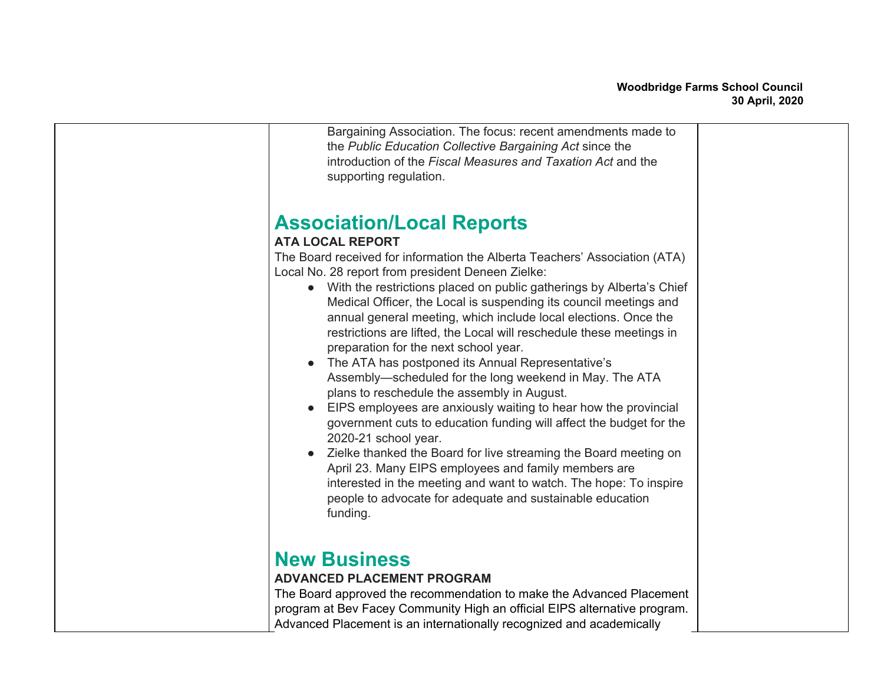| Bargaining Association. The focus: recent amendments made to<br>the Public Education Collective Bargaining Act since the<br>introduction of the Fiscal Measures and Taxation Act and the<br>supporting regulation.                                                                                                                                                                                                                                                                                                                                                                                                                                                                                                                                                                                                                                                                                                                                                                                                                                                                                                                           |  |
|----------------------------------------------------------------------------------------------------------------------------------------------------------------------------------------------------------------------------------------------------------------------------------------------------------------------------------------------------------------------------------------------------------------------------------------------------------------------------------------------------------------------------------------------------------------------------------------------------------------------------------------------------------------------------------------------------------------------------------------------------------------------------------------------------------------------------------------------------------------------------------------------------------------------------------------------------------------------------------------------------------------------------------------------------------------------------------------------------------------------------------------------|--|
| <b>Association/Local Reports</b><br><b>ATA LOCAL REPORT</b><br>The Board received for information the Alberta Teachers' Association (ATA)<br>Local No. 28 report from president Deneen Zielke:<br>• With the restrictions placed on public gatherings by Alberta's Chief<br>Medical Officer, the Local is suspending its council meetings and<br>annual general meeting, which include local elections. Once the<br>restrictions are lifted, the Local will reschedule these meetings in<br>preparation for the next school year.<br>The ATA has postponed its Annual Representative's<br>Assembly-scheduled for the long weekend in May. The ATA<br>plans to reschedule the assembly in August.<br>EIPS employees are anxiously waiting to hear how the provincial<br>government cuts to education funding will affect the budget for the<br>2020-21 school year.<br>Zielke thanked the Board for live streaming the Board meeting on<br>April 23. Many EIPS employees and family members are<br>interested in the meeting and want to watch. The hope: To inspire<br>people to advocate for adequate and sustainable education<br>funding. |  |
| <b>New Business</b><br><b>ADVANCED PLACEMENT PROGRAM</b><br>The Board approved the recommendation to make the Advanced Placement<br>program at Bev Facey Community High an official EIPS alternative program.<br>Advanced Placement is an internationally recognized and academically                                                                                                                                                                                                                                                                                                                                                                                                                                                                                                                                                                                                                                                                                                                                                                                                                                                        |  |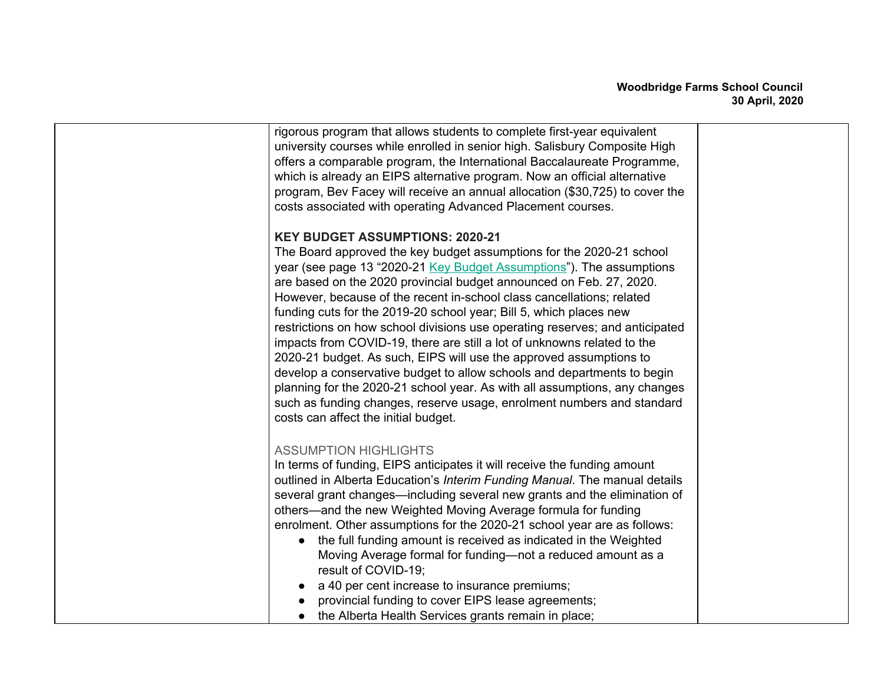| rigorous program that allows students to complete first-year equivalent<br>university courses while enrolled in senior high. Salisbury Composite High<br>offers a comparable program, the International Baccalaureate Programme,<br>which is already an EIPS alternative program. Now an official alternative<br>program, Bev Facey will receive an annual allocation (\$30,725) to cover the<br>costs associated with operating Advanced Placement courses.                                                                                                                                                                                                                                                                                                                                                                                                                                                             |  |
|--------------------------------------------------------------------------------------------------------------------------------------------------------------------------------------------------------------------------------------------------------------------------------------------------------------------------------------------------------------------------------------------------------------------------------------------------------------------------------------------------------------------------------------------------------------------------------------------------------------------------------------------------------------------------------------------------------------------------------------------------------------------------------------------------------------------------------------------------------------------------------------------------------------------------|--|
| <b>KEY BUDGET ASSUMPTIONS: 2020-21</b><br>The Board approved the key budget assumptions for the 2020-21 school<br>year (see page 13 "2020-21 Key Budget Assumptions"). The assumptions<br>are based on the 2020 provincial budget announced on Feb. 27, 2020.<br>However, because of the recent in-school class cancellations; related<br>funding cuts for the 2019-20 school year; Bill 5, which places new<br>restrictions on how school divisions use operating reserves; and anticipated<br>impacts from COVID-19, there are still a lot of unknowns related to the<br>2020-21 budget. As such, EIPS will use the approved assumptions to<br>develop a conservative budget to allow schools and departments to begin<br>planning for the 2020-21 school year. As with all assumptions, any changes<br>such as funding changes, reserve usage, enrolment numbers and standard<br>costs can affect the initial budget. |  |
| <b>ASSUMPTION HIGHLIGHTS</b><br>In terms of funding, EIPS anticipates it will receive the funding amount<br>outlined in Alberta Education's Interim Funding Manual. The manual details<br>several grant changes—including several new grants and the elimination of<br>others—and the new Weighted Moving Average formula for funding<br>enrolment. Other assumptions for the 2020-21 school year are as follows:<br>the full funding amount is received as indicated in the Weighted<br>$\bullet$<br>Moving Average formal for funding-not a reduced amount as a<br>result of COVID-19;<br>a 40 per cent increase to insurance premiums;<br>provincial funding to cover EIPS lease agreements;<br>the Alberta Health Services grants remain in place;                                                                                                                                                                   |  |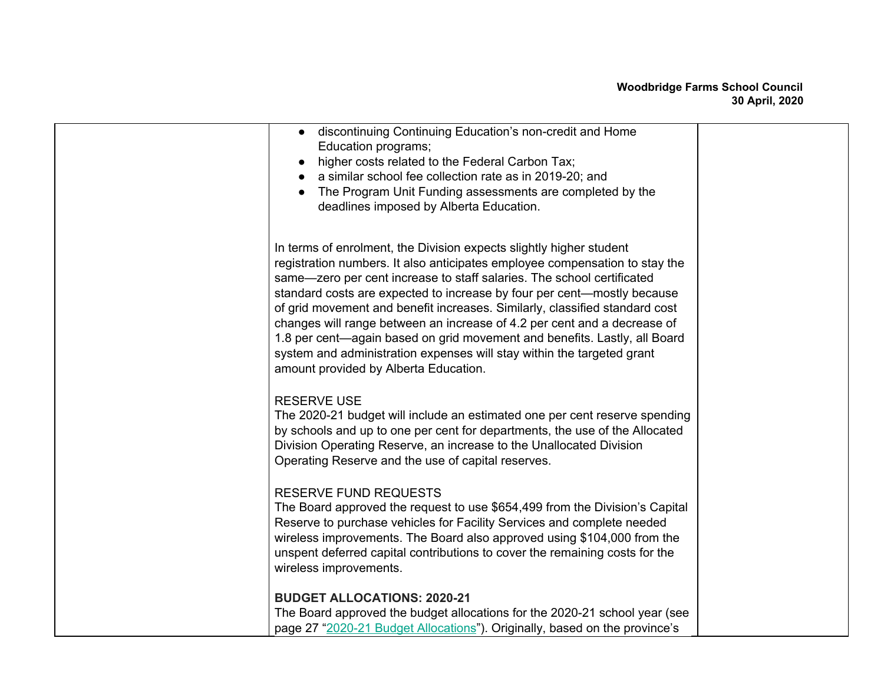## **Woodbridge Farms School Council 30 April, 2020**

| discontinuing Continuing Education's non-credit and Home<br>Education programs;<br>higher costs related to the Federal Carbon Tax;<br>a similar school fee collection rate as in 2019-20; and<br>The Program Unit Funding assessments are completed by the<br>deadlines imposed by Alberta Education.                                                                                                                                                                                                                                                                                                                                                              |  |
|--------------------------------------------------------------------------------------------------------------------------------------------------------------------------------------------------------------------------------------------------------------------------------------------------------------------------------------------------------------------------------------------------------------------------------------------------------------------------------------------------------------------------------------------------------------------------------------------------------------------------------------------------------------------|--|
| In terms of enrolment, the Division expects slightly higher student<br>registration numbers. It also anticipates employee compensation to stay the<br>same-zero per cent increase to staff salaries. The school certificated<br>standard costs are expected to increase by four per cent-mostly because<br>of grid movement and benefit increases. Similarly, classified standard cost<br>changes will range between an increase of 4.2 per cent and a decrease of<br>1.8 per cent—again based on grid movement and benefits. Lastly, all Board<br>system and administration expenses will stay within the targeted grant<br>amount provided by Alberta Education. |  |
| <b>RESERVE USE</b><br>The 2020-21 budget will include an estimated one per cent reserve spending<br>by schools and up to one per cent for departments, the use of the Allocated<br>Division Operating Reserve, an increase to the Unallocated Division<br>Operating Reserve and the use of capital reserves.                                                                                                                                                                                                                                                                                                                                                       |  |
| <b>RESERVE FUND REQUESTS</b><br>The Board approved the request to use \$654,499 from the Division's Capital<br>Reserve to purchase vehicles for Facility Services and complete needed<br>wireless improvements. The Board also approved using \$104,000 from the<br>unspent deferred capital contributions to cover the remaining costs for the<br>wireless improvements.                                                                                                                                                                                                                                                                                          |  |
| <b>BUDGET ALLOCATIONS: 2020-21</b><br>The Board approved the budget allocations for the 2020-21 school year (see<br>page 27 "2020-21 Budget Allocations"). Originally, based on the province's                                                                                                                                                                                                                                                                                                                                                                                                                                                                     |  |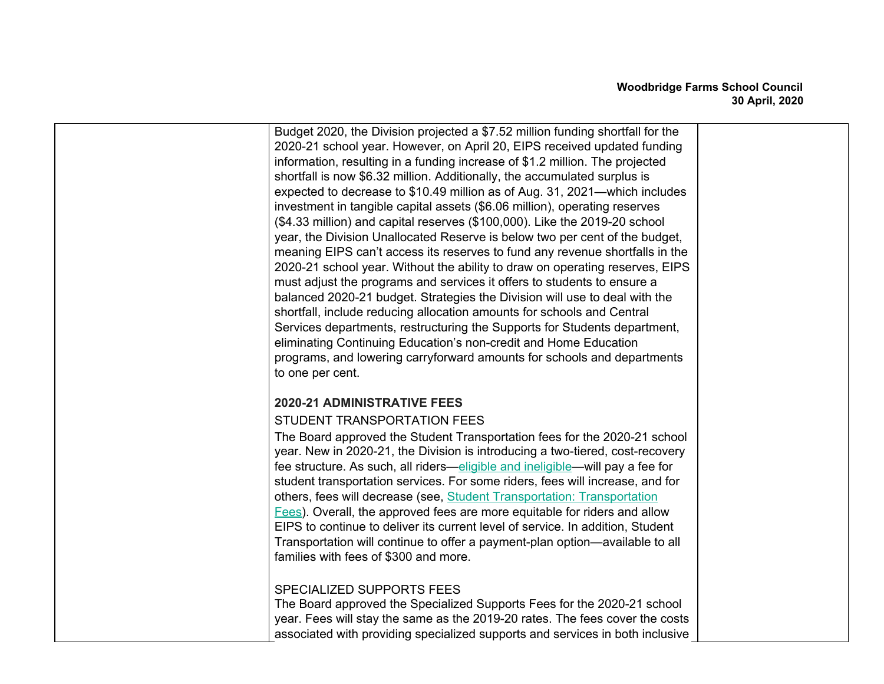| Budget 2020, the Division projected a \$7.52 million funding shortfall for the<br>2020-21 school year. However, on April 20, EIPS received updated funding<br>information, resulting in a funding increase of \$1.2 million. The projected<br>shortfall is now \$6.32 million. Additionally, the accumulated surplus is<br>expected to decrease to \$10.49 million as of Aug. 31, 2021—which includes<br>investment in tangible capital assets (\$6.06 million), operating reserves<br>(\$4.33 million) and capital reserves (\$100,000). Like the 2019-20 school<br>year, the Division Unallocated Reserve is below two per cent of the budget,<br>meaning EIPS can't access its reserves to fund any revenue shortfalls in the<br>2020-21 school year. Without the ability to draw on operating reserves, EIPS<br>must adjust the programs and services it offers to students to ensure a<br>balanced 2020-21 budget. Strategies the Division will use to deal with the<br>shortfall, include reducing allocation amounts for schools and Central<br>Services departments, restructuring the Supports for Students department,<br>eliminating Continuing Education's non-credit and Home Education<br>programs, and lowering carryforward amounts for schools and departments<br>to one per cent. |  |
|-----------------------------------------------------------------------------------------------------------------------------------------------------------------------------------------------------------------------------------------------------------------------------------------------------------------------------------------------------------------------------------------------------------------------------------------------------------------------------------------------------------------------------------------------------------------------------------------------------------------------------------------------------------------------------------------------------------------------------------------------------------------------------------------------------------------------------------------------------------------------------------------------------------------------------------------------------------------------------------------------------------------------------------------------------------------------------------------------------------------------------------------------------------------------------------------------------------------------------------------------------------------------------------------------------|--|
| 2020-21 ADMINISTRATIVE FEES<br>STUDENT TRANSPORTATION FEES<br>The Board approved the Student Transportation fees for the 2020-21 school<br>year. New in 2020-21, the Division is introducing a two-tiered, cost-recovery<br>fee structure. As such, all riders—eligible and ineligible—will pay a fee for<br>student transportation services. For some riders, fees will increase, and for<br>others, fees will decrease (see, Student Transportation: Transportation<br>Fees). Overall, the approved fees are more equitable for riders and allow<br>EIPS to continue to deliver its current level of service. In addition, Student<br>Transportation will continue to offer a payment-plan option—available to all<br>families with fees of \$300 and more.                                                                                                                                                                                                                                                                                                                                                                                                                                                                                                                                       |  |
| SPECIALIZED SUPPORTS FEES<br>The Board approved the Specialized Supports Fees for the 2020-21 school<br>year. Fees will stay the same as the 2019-20 rates. The fees cover the costs<br>associated with providing specialized supports and services in both inclusive                                                                                                                                                                                                                                                                                                                                                                                                                                                                                                                                                                                                                                                                                                                                                                                                                                                                                                                                                                                                                               |  |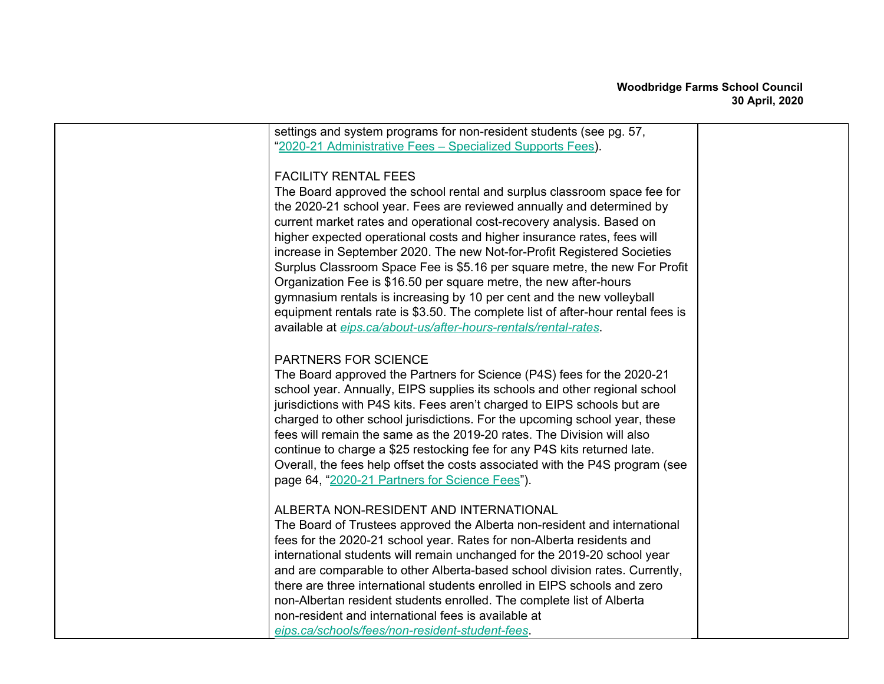| settings and system programs for non-resident students (see pg. 57,              |  |
|----------------------------------------------------------------------------------|--|
| "2020-21 Administrative Fees - Specialized Supports Fees).                       |  |
|                                                                                  |  |
| <b>FACILITY RENTAL FEES</b>                                                      |  |
| The Board approved the school rental and surplus classroom space fee for         |  |
| the 2020-21 school year. Fees are reviewed annually and determined by            |  |
| current market rates and operational cost-recovery analysis. Based on            |  |
| higher expected operational costs and higher insurance rates, fees will          |  |
| increase in September 2020. The new Not-for-Profit Registered Societies          |  |
| Surplus Classroom Space Fee is \$5.16 per square metre, the new For Profit       |  |
| Organization Fee is \$16.50 per square metre, the new after-hours                |  |
| gymnasium rentals is increasing by 10 per cent and the new volleyball            |  |
| equipment rentals rate is \$3.50. The complete list of after-hour rental fees is |  |
| available at eips.ca/about-us/after-hours-rentals/rental-rates.                  |  |
|                                                                                  |  |
| <b>PARTNERS FOR SCIENCE</b>                                                      |  |
| The Board approved the Partners for Science (P4S) fees for the 2020-21           |  |
| school year. Annually, EIPS supplies its schools and other regional school       |  |
| jurisdictions with P4S kits. Fees aren't charged to EIPS schools but are         |  |
| charged to other school jurisdictions. For the upcoming school year, these       |  |
| fees will remain the same as the 2019-20 rates. The Division will also           |  |
| continue to charge a \$25 restocking fee for any P4S kits returned late.         |  |
| Overall, the fees help offset the costs associated with the P4S program (see     |  |
| page 64, "2020-21 Partners for Science Fees").                                   |  |
|                                                                                  |  |
| ALBERTA NON-RESIDENT AND INTERNATIONAL                                           |  |
| The Board of Trustees approved the Alberta non-resident and international        |  |
| fees for the 2020-21 school year. Rates for non-Alberta residents and            |  |
| international students will remain unchanged for the 2019-20 school year         |  |
| and are comparable to other Alberta-based school division rates. Currently,      |  |
| there are three international students enrolled in EIPS schools and zero         |  |
| non-Albertan resident students enrolled. The complete list of Alberta            |  |
| non-resident and international fees is available at                              |  |
| eips.ca/schools/fees/non-resident-student-fees.                                  |  |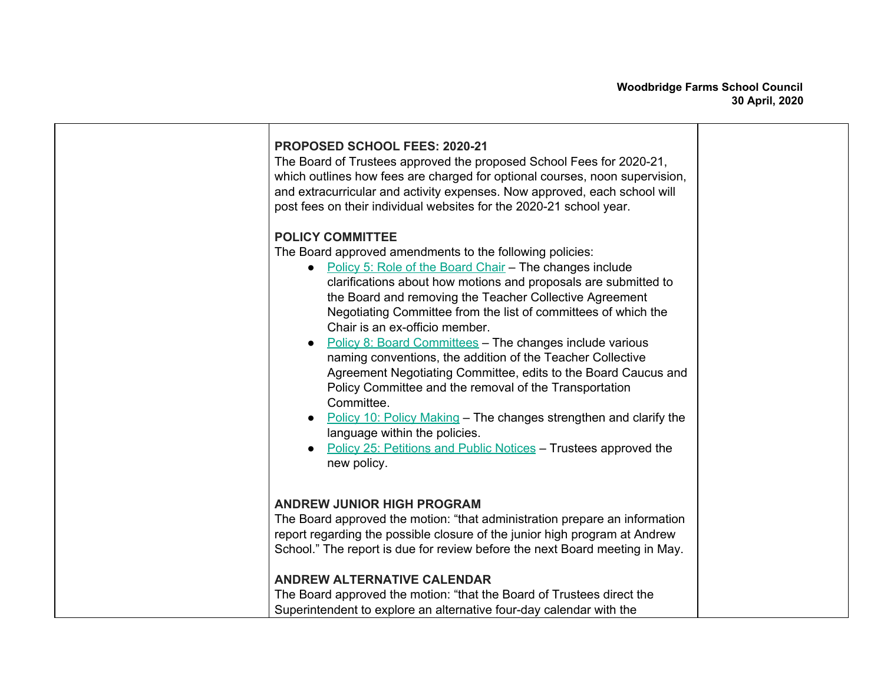| PROPOSED SCHOOL FEES: 2020-21<br>The Board of Trustees approved the proposed School Fees for 2020-21,<br>which outlines how fees are charged for optional courses, noon supervision,<br>and extracurricular and activity expenses. Now approved, each school will<br>post fees on their individual websites for the 2020-21 school year.                                                                                                                                                                                                                                                                                                                                                                                                                                                                                                              |  |
|-------------------------------------------------------------------------------------------------------------------------------------------------------------------------------------------------------------------------------------------------------------------------------------------------------------------------------------------------------------------------------------------------------------------------------------------------------------------------------------------------------------------------------------------------------------------------------------------------------------------------------------------------------------------------------------------------------------------------------------------------------------------------------------------------------------------------------------------------------|--|
| <b>POLICY COMMITTEE</b><br>The Board approved amendments to the following policies:<br>• Policy 5: Role of the Board Chair - The changes include<br>clarifications about how motions and proposals are submitted to<br>the Board and removing the Teacher Collective Agreement<br>Negotiating Committee from the list of committees of which the<br>Chair is an ex-officio member.<br><b>Policy 8: Board Committees - The changes include various</b><br>naming conventions, the addition of the Teacher Collective<br>Agreement Negotiating Committee, edits to the Board Caucus and<br>Policy Committee and the removal of the Transportation<br>Committee.<br>Policy 10: Policy Making – The changes strengthen and clarify the<br>language within the policies.<br>Policy 25: Petitions and Public Notices - Trustees approved the<br>new policy. |  |
| <b>ANDREW JUNIOR HIGH PROGRAM</b><br>The Board approved the motion: "that administration prepare an information<br>report regarding the possible closure of the junior high program at Andrew<br>School." The report is due for review before the next Board meeting in May.<br><b>ANDREW ALTERNATIVE CALENDAR</b><br>The Board approved the motion: "that the Board of Trustees direct the<br>Superintendent to explore an alternative four-day calendar with the                                                                                                                                                                                                                                                                                                                                                                                    |  |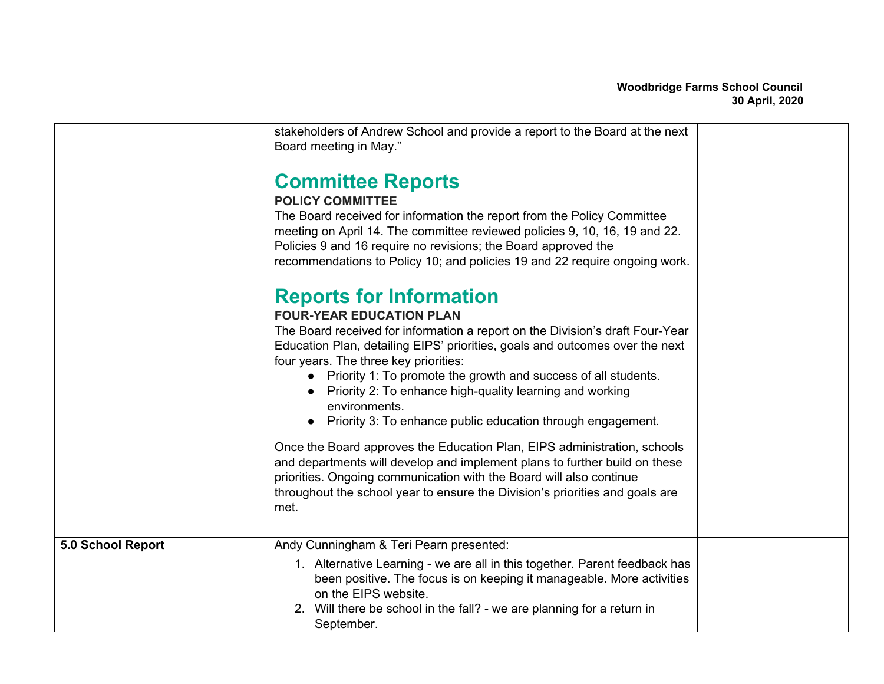|                   | stakeholders of Andrew School and provide a report to the Board at the next<br>Board meeting in May."                                                                                                                                                                                                                                                                                                                             |  |
|-------------------|-----------------------------------------------------------------------------------------------------------------------------------------------------------------------------------------------------------------------------------------------------------------------------------------------------------------------------------------------------------------------------------------------------------------------------------|--|
|                   | <b>Committee Reports</b><br><b>POLICY COMMITTEE</b><br>The Board received for information the report from the Policy Committee<br>meeting on April 14. The committee reviewed policies 9, 10, 16, 19 and 22.<br>Policies 9 and 16 require no revisions; the Board approved the<br>recommendations to Policy 10; and policies 19 and 22 require ongoing work.<br><b>Reports for Information</b><br><b>FOUR-YEAR EDUCATION PLAN</b> |  |
|                   | The Board received for information a report on the Division's draft Four-Year<br>Education Plan, detailing EIPS' priorities, goals and outcomes over the next<br>four years. The three key priorities:<br>• Priority 1: To promote the growth and success of all students.<br>Priority 2: To enhance high-quality learning and working<br>environments.<br>Priority 3: To enhance public education through engagement.            |  |
|                   | Once the Board approves the Education Plan, EIPS administration, schools<br>and departments will develop and implement plans to further build on these<br>priorities. Ongoing communication with the Board will also continue<br>throughout the school year to ensure the Division's priorities and goals are<br>met.                                                                                                             |  |
| 5.0 School Report | Andy Cunningham & Teri Pearn presented:<br>1. Alternative Learning - we are all in this together. Parent feedback has<br>been positive. The focus is on keeping it manageable. More activities<br>on the EIPS website.<br>2. Will there be school in the fall? - we are planning for a return in<br>September.                                                                                                                    |  |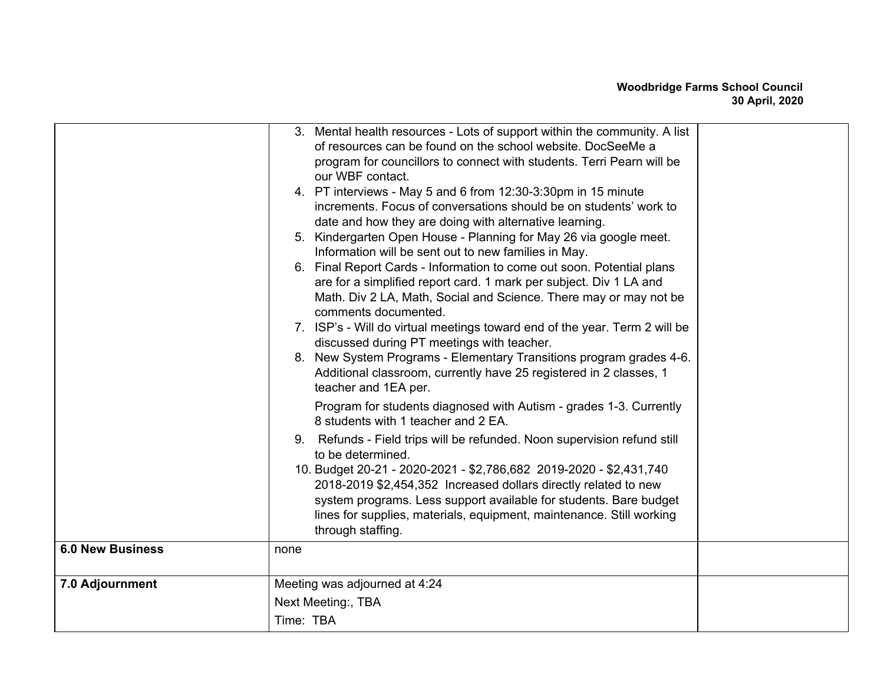| 3. Mental health resources - Lots of support within the community. A list<br>of resources can be found on the school website. DocSeeMe a<br>program for councillors to connect with students. Terri Pearn will be<br>our WBF contact.<br>4. PT interviews - May 5 and 6 from 12:30-3:30pm in 15 minute<br>increments. Focus of conversations should be on students' work to<br>date and how they are doing with alternative learning.<br>5. Kindergarten Open House - Planning for May 26 via google meet.<br>Information will be sent out to new families in May.<br>6. Final Report Cards - Information to come out soon. Potential plans<br>are for a simplified report card. 1 mark per subject. Div 1 LA and<br>Math. Div 2 LA, Math, Social and Science. There may or may not be<br>comments documented.<br>7. ISP's - Will do virtual meetings toward end of the year. Term 2 will be<br>discussed during PT meetings with teacher.<br>8. New System Programs - Elementary Transitions program grades 4-6.<br>Additional classroom, currently have 25 registered in 2 classes, 1<br>teacher and 1EA per.<br>Program for students diagnosed with Autism - grades 1-3. Currently<br>8 students with 1 teacher and 2 EA.<br>9. Refunds - Field trips will be refunded. Noon supervision refund still<br>to be determined.<br>10. Budget 20-21 - 2020-2021 - \$2,786,682 2019-2020 - \$2,431,740<br>2018-2019 \$2,454,352 Increased dollars directly related to new<br>system programs. Less support available for students. Bare budget<br>lines for supplies, materials, equipment, maintenance. Still working<br>through staffing.<br><b>6.0 New Business</b><br>none<br>7.0 Adjournment<br>Meeting was adjourned at 4:24 |                    |  |
|---------------------------------------------------------------------------------------------------------------------------------------------------------------------------------------------------------------------------------------------------------------------------------------------------------------------------------------------------------------------------------------------------------------------------------------------------------------------------------------------------------------------------------------------------------------------------------------------------------------------------------------------------------------------------------------------------------------------------------------------------------------------------------------------------------------------------------------------------------------------------------------------------------------------------------------------------------------------------------------------------------------------------------------------------------------------------------------------------------------------------------------------------------------------------------------------------------------------------------------------------------------------------------------------------------------------------------------------------------------------------------------------------------------------------------------------------------------------------------------------------------------------------------------------------------------------------------------------------------------------------------------------------------------------------------------------------------------------------------|--------------------|--|
|                                                                                                                                                                                                                                                                                                                                                                                                                                                                                                                                                                                                                                                                                                                                                                                                                                                                                                                                                                                                                                                                                                                                                                                                                                                                                                                                                                                                                                                                                                                                                                                                                                                                                                                                 |                    |  |
|                                                                                                                                                                                                                                                                                                                                                                                                                                                                                                                                                                                                                                                                                                                                                                                                                                                                                                                                                                                                                                                                                                                                                                                                                                                                                                                                                                                                                                                                                                                                                                                                                                                                                                                                 |                    |  |
|                                                                                                                                                                                                                                                                                                                                                                                                                                                                                                                                                                                                                                                                                                                                                                                                                                                                                                                                                                                                                                                                                                                                                                                                                                                                                                                                                                                                                                                                                                                                                                                                                                                                                                                                 |                    |  |
| Time: TBA                                                                                                                                                                                                                                                                                                                                                                                                                                                                                                                                                                                                                                                                                                                                                                                                                                                                                                                                                                                                                                                                                                                                                                                                                                                                                                                                                                                                                                                                                                                                                                                                                                                                                                                       | Next Meeting:, TBA |  |